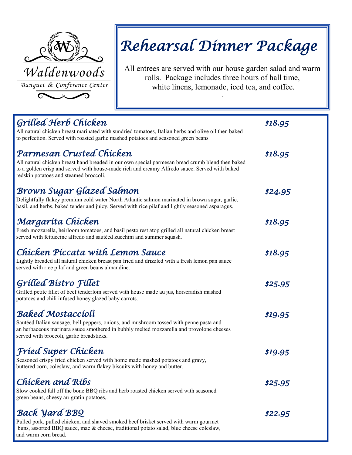

# *Rehearsal Dinner Package*

All entrees are served with our house garden salad and warm rolls. Package includes three hours of hall time, white linens, lemonade, iced tea, and coffee.

.

| Grilled Herb Chicken<br>All natural chicken breast marinated with sundried tomatoes, Italian herbs and olive oil then baked<br>to perfection. Served with roasted garlic mashed potatoes and seasoned green beans                                                       | \$18.95 |
|-------------------------------------------------------------------------------------------------------------------------------------------------------------------------------------------------------------------------------------------------------------------------|---------|
| Parmesan Crusted Chicken<br>All natural chicken breast hand breaded in our own special parmesan bread crumb blend then baked<br>to a golden crisp and served with house-made rich and creamy Alfredo sauce. Served with baked<br>redskin potatoes and steamed broccoli. | \$18.95 |
| Brown Sugar Glazed Salmon<br>Delightfully flakey premium cold water North Atlantic salmon marinated in brown sugar, garlic,<br>basil, and herbs, baked tender and juicy. Served with rice pilaf and lightly seasoned asparagus.                                         | \$24.95 |
| Margaríta Chícken<br>Fresh mozzarella, heirloom tomatoes, and basil pesto rest atop grilled all natural chicken breast<br>served with fettuccine alfredo and sautéed zucchini and summer squash.                                                                        | \$18.95 |
| Chicken Piccata with Lemon Sauce<br>Lightly breaded all natural chicken breast pan fried and drizzled with a fresh lemon pan sauce<br>served with rice pilaf and green beans almandine.                                                                                 | \$18.95 |
| <b>Grilled Bistro Fillet</b><br>Grilled petite fillet of beef tenderloin served with house made au jus, horseradish mashed<br>potatoes and chili infused honey glazed baby carrots.                                                                                     | \$25.95 |
| <b>Baked Mostaccioli</b><br>Sautéed Italian sausage, bell peppers, onions, and mushroom tossed with penne pasta and<br>an herbaceous marinara sauce smothered in bubbly melted mozzarella and provolone cheeses<br>served with broccoli, garlic breadsticks.            | \$19.95 |
| Fríed Super Chicken<br>Seasoned crispy fried chicken served with home made mashed potatoes and gravy,<br>buttered corn, coleslaw, and warm flakey biscuits with honey and butter.                                                                                       | \$19.95 |
| Chicken and Ribs<br>Slow cooked fall off the bone BBQ ribs and herb roasted chicken served with seasoned<br>green beans, cheesy au-gratin potatoes,.                                                                                                                    | \$25.95 |
| <b>Back Yard BBQ</b><br>Pulled pork, pulled chicken, and shaved smoked beef brisket served with warm gourmet<br>buns, assorted BBQ sauce, mac & cheese, traditional potato salad, blue cheese coleslaw,<br>and warm corn bread.                                         | \$22.95 |